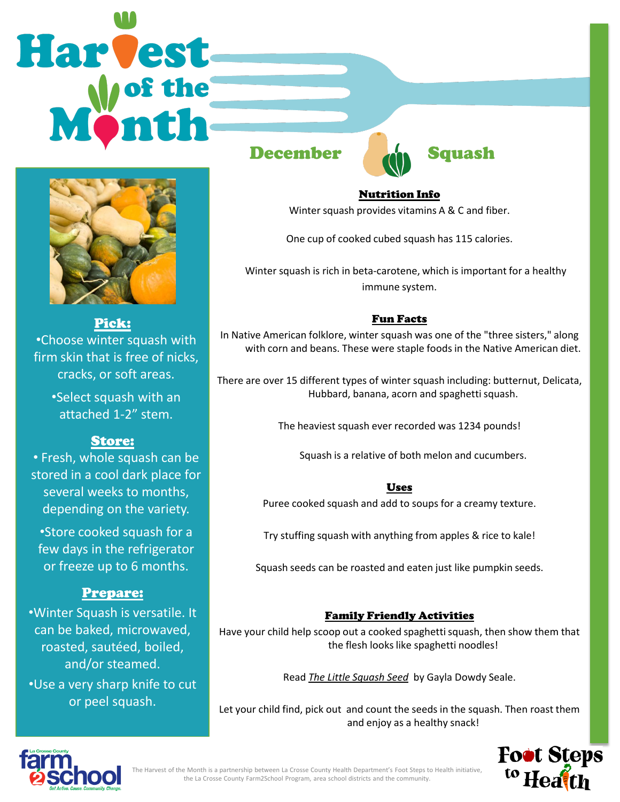# **Harvest**



Pick: •Choose winter squash with firm skin that is free of nicks, cracks, or soft areas.

> •Select squash with an attached 1-2" stem.

# Store:

• Fresh, whole squash can be stored in a cool dark place for several weeks to months, depending on the variety.

•Store cooked squash for a few days in the refrigerator or freeze up to 6 months.

# Prepare:

•Winter Squash is versatile. It can be baked, microwaved, roasted, sautéed, boiled, and/or steamed. •Use a very sharp knife to cut or peel squash.



#### Nutrition Info

Winter squash provides vitamins A & C and fiber.

One cup of cooked cubed squash has 115 calories.

 Winter squash is rich in beta-carotene, which is important for a healthy immune system.

### Fun Facts

In Native American folklore, winter squash was one of the "three sisters," along with corn and beans. These were staple foods in the Native American diet.

There are over 15 different types of winter squash including: butternut, Delicata, Hubbard, banana, acorn and spaghetti squash.

The heaviest squash ever recorded was 1234 pounds!

Squash is a relative of both melon and cucumbers.

#### Uses

Puree cooked squash and add to soups for a creamy texture.

Try stuffing squash with anything from apples & rice to kale!

Squash seeds can be roasted and eaten just like pumpkin seeds.

## Family Friendly Activities

Have your child help scoop out a cooked spaghetti squash, then show them that the flesh looks like spaghetti noodles!

Read *The Little Squash Seed* by Gayla Dowdy Seale.

Let your child find, pick out and count the seeds in the squash. Then roast them and enjoy as a healthy snack!